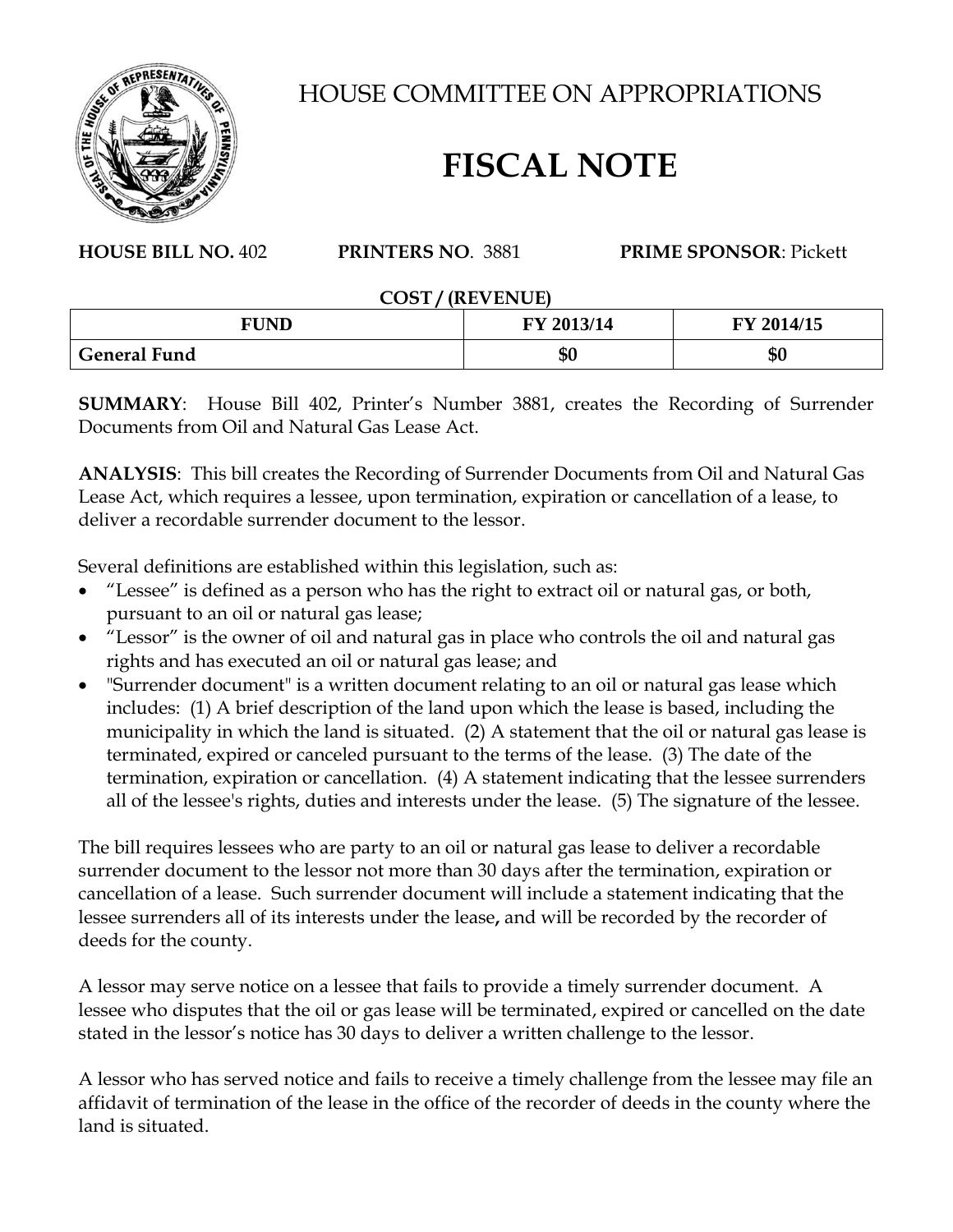

HOUSE COMMITTEE ON APPROPRIATIONS

## **FISCAL NOTE**

## **HOUSE BILL NO.** 402 **PRINTERS NO**. 3881 **PRIME SPONSOR**: Pickett

## **COST / (REVENUE)**

| <b>FUND</b>         | 12013/14<br>ŦҮ | FY 2014/15 |
|---------------------|----------------|------------|
| <b>General Fund</b> | Jυ             | ΦC<br>ΨQ   |

**SUMMARY**: House Bill 402, Printer's Number 3881, creates the Recording of Surrender Documents from Oil and Natural Gas Lease Act.

**ANALYSIS**: This bill creates the Recording of Surrender Documents from Oil and Natural Gas Lease Act, which requires a lessee, upon termination, expiration or cancellation of a lease, to deliver a recordable surrender document to the lessor.

Several definitions are established within this legislation, such as:

- "Lessee" is defined as a person who has the right to extract oil or natural gas, or both, pursuant to an oil or natural gas lease;
- "Lessor" is the owner of oil and natural gas in place who controls the oil and natural gas rights and has executed an oil or natural gas lease; and
- "Surrender document" is a written document relating to an oil or natural gas lease which includes: (1) A brief description of the land upon which the lease is based, including the municipality in which the land is situated. (2) A statement that the oil or natural gas lease is terminated, expired or canceled pursuant to the terms of the lease. (3) The date of the termination, expiration or cancellation. (4) A statement indicating that the lessee surrenders all of the lessee's rights, duties and interests under the lease. (5) The signature of the lessee.

The bill requires lessees who are party to an oil or natural gas lease to deliver a recordable surrender document to the lessor not more than 30 days after the termination, expiration or cancellation of a lease. Such surrender document will include a statement indicating that the lessee surrenders all of its interests under the lease**,** and will be recorded by the recorder of deeds for the county.

A lessor may serve notice on a lessee that fails to provide a timely surrender document. A lessee who disputes that the oil or gas lease will be terminated, expired or cancelled on the date stated in the lessor's notice has 30 days to deliver a written challenge to the lessor.

A lessor who has served notice and fails to receive a timely challenge from the lessee may file an affidavit of termination of the lease in the office of the recorder of deeds in the county where the land is situated.